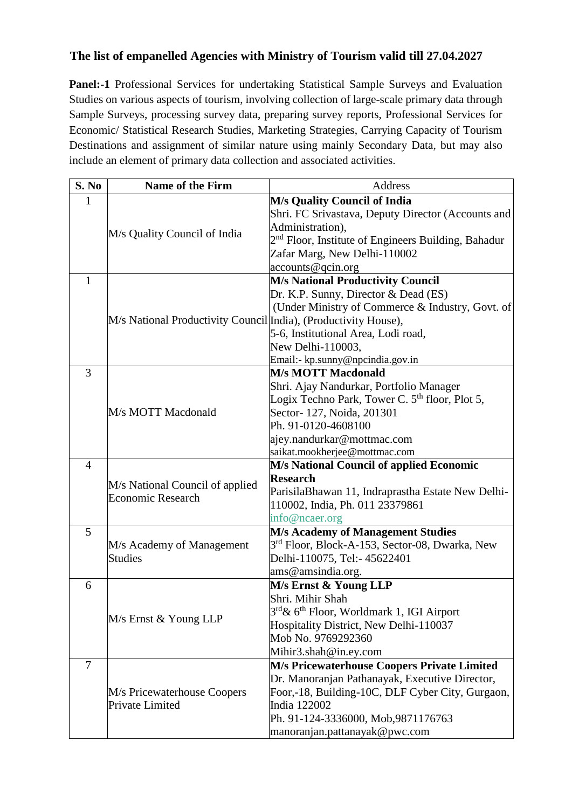## **The list of empanelled Agencies with Ministry of Tourism valid till 27.04.2027**

**Panel:-1** Professional Services for undertaking Statistical Sample Surveys and Evaluation Studies on various aspects of tourism, involving collection of large-scale primary data through Sample Surveys, processing survey data, preparing survey reports, Professional Services for Economic/ Statistical Research Studies, Marketing Strategies, Carrying Capacity of Tourism Destinations and assignment of similar nature using mainly Secondary Data, but may also include an element of primary data collection and associated activities.

| S. No          | <b>Name of the Firm</b>                                         | Address                                                         |
|----------------|-----------------------------------------------------------------|-----------------------------------------------------------------|
| $\mathbf{1}$   |                                                                 | M/s Quality Council of India                                    |
|                | M/s Quality Council of India                                    | Shri. FC Srivastava, Deputy Director (Accounts and              |
|                |                                                                 | Administration),                                                |
|                |                                                                 | 2 <sup>nd</sup> Floor, Institute of Engineers Building, Bahadur |
|                |                                                                 | Zafar Marg, New Delhi-110002                                    |
|                |                                                                 | accounts@qcin.org                                               |
| $\mathbf{1}$   | M/s National Productivity Council India), (Productivity House), | <b>M/s National Productivity Council</b>                        |
|                |                                                                 | Dr. K.P. Sunny, Director & Dead (ES)                            |
|                |                                                                 | (Under Ministry of Commerce & Industry, Govt. of                |
|                |                                                                 |                                                                 |
|                |                                                                 | 5-6, Institutional Area, Lodi road,                             |
|                |                                                                 | New Delhi-110003,                                               |
|                |                                                                 | Email:- kp.sunny@npcindia.gov.in                                |
| 3              |                                                                 | <b>M/s MOTT Macdonald</b>                                       |
|                |                                                                 | Shri. Ajay Nandurkar, Portfolio Manager                         |
|                |                                                                 | Logix Techno Park, Tower C. 5 <sup>th</sup> floor, Plot 5,      |
|                | M/s MOTT Macdonald                                              | Sector-127, Noida, 201301                                       |
|                |                                                                 | Ph. 91-0120-4608100                                             |
|                |                                                                 | ajey.nandurkar@mottmac.com                                      |
| $\overline{4}$ |                                                                 | saikat.mookherjee@mottmac.com                                   |
|                | M/s National Council of applied<br><b>Economic Research</b>     | M/s National Council of applied Economic<br><b>Research</b>     |
|                |                                                                 | ParisilaBhawan 11, Indraprastha Estate New Delhi-               |
|                |                                                                 | 110002, India, Ph. 011 23379861                                 |
|                |                                                                 | info@ncaer.org                                                  |
| 5              |                                                                 | <b>M/s Academy of Management Studies</b>                        |
|                | M/s Academy of Management                                       | 3 <sup>rd</sup> Floor, Block-A-153, Sector-08, Dwarka, New      |
|                | <b>Studies</b>                                                  | Delhi-110075, Tel:- 45622401                                    |
|                |                                                                 | ams@amsindia.org.                                               |
| 6              |                                                                 | M/s Ernst & Young LLP                                           |
|                | M/s Ernst & Young LLP                                           | Shri. Mihir Shah                                                |
|                |                                                                 | 3rd & 6 <sup>th</sup> Floor, Worldmark 1, IGI Airport           |
|                |                                                                 | Hospitality District, New Delhi-110037                          |
|                |                                                                 | Mob No. 9769292360                                              |
|                |                                                                 | Mihir3.shah@in.ey.com                                           |
| 7              |                                                                 | M/s Pricewaterhouse Coopers Private Limited                     |
|                | M/s Pricewaterhouse Coopers                                     | Dr. Manoranjan Pathanayak, Executive Director,                  |
|                |                                                                 | Foor,-18, Building-10C, DLF Cyber City, Gurgaon,                |
|                | Private Limited                                                 | India 122002                                                    |
|                |                                                                 | Ph. 91-124-3336000, Mob, 9871176763                             |
|                |                                                                 | manoranjan.pattanayak@pwc.com                                   |